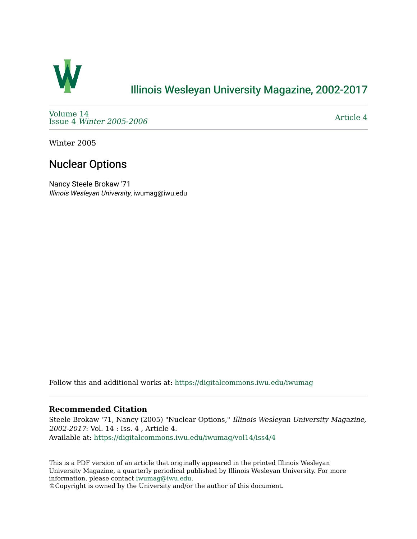

## [Illinois Wesleyan University Magazine, 2002-2017](https://digitalcommons.iwu.edu/iwumag)

[Volume 14](https://digitalcommons.iwu.edu/iwumag/vol14)  Issue 4 [Winter 2005-2006](https://digitalcommons.iwu.edu/iwumag/vol14/iss4)

[Article 4](https://digitalcommons.iwu.edu/iwumag/vol14/iss4/4) 

Winter 2005

# Nuclear Options

Nancy Steele Brokaw '71 Illinois Wesleyan University, iwumag@iwu.edu

Follow this and additional works at: [https://digitalcommons.iwu.edu/iwumag](https://digitalcommons.iwu.edu/iwumag?utm_source=digitalcommons.iwu.edu%2Fiwumag%2Fvol14%2Fiss4%2F4&utm_medium=PDF&utm_campaign=PDFCoverPages) 

### **Recommended Citation**

Steele Brokaw '71, Nancy (2005) "Nuclear Options," Illinois Wesleyan University Magazine, 2002-2017: Vol. 14 : Iss. 4 , Article 4. Available at: [https://digitalcommons.iwu.edu/iwumag/vol14/iss4/4](https://digitalcommons.iwu.edu/iwumag/vol14/iss4/4?utm_source=digitalcommons.iwu.edu%2Fiwumag%2Fvol14%2Fiss4%2F4&utm_medium=PDF&utm_campaign=PDFCoverPages)

This is a PDF version of an article that originally appeared in the printed Illinois Wesleyan University Magazine, a quarterly periodical published by Illinois Wesleyan University. For more information, please contact [iwumag@iwu.edu](mailto:iwumag@iwu.edu).

©Copyright is owned by the University and/or the author of this document.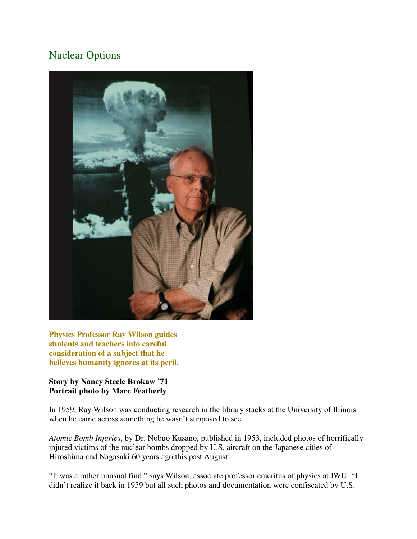## Nuclear Options



**Physics Professor Ray Wilson guides students and teachers into careful consideration of a subject that he believes humanity ignores at its peril.** 

### **Story by Nancy Steele Brokaw '71 Portrait photo by Marc Featherly**

In 1959, Ray Wilson was conducting research in the library stacks at the University of Illinois when he came across something he wasn't supposed to see.

*Atomic Bomb Injuries*, by Dr. Nobuo Kusano, published in 1953, included photos of horrifically injured victims of the nuclear bombs dropped by U.S. aircraft on the Japanese cities of Hiroshima and Nagasaki 60 years ago this past August.

"It was a rather unusual find," says Wilson, associate professor emeritus of physics at IWU. "I didn't realize it back in 1959 but all such photos and documentation were confiscated by U.S.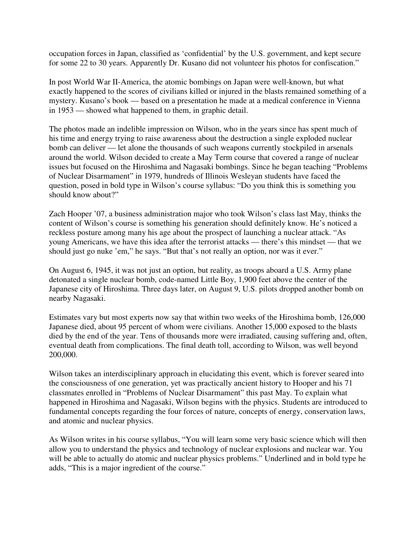occupation forces in Japan, classified as 'confidential' by the U.S. government, and kept secure for some 22 to 30 years. Apparently Dr. Kusano did not volunteer his photos for confiscation."

In post World War II-America, the atomic bombings on Japan were well-known, but what exactly happened to the scores of civilians killed or injured in the blasts remained something of a mystery. Kusano's book — based on a presentation he made at a medical conference in Vienna in 1953 — showed what happened to them, in graphic detail.

The photos made an indelible impression on Wilson, who in the years since has spent much of his time and energy trying to raise awareness about the destruction a single exploded nuclear bomb can deliver — let alone the thousands of such weapons currently stockpiled in arsenals around the world. Wilson decided to create a May Term course that covered a range of nuclear issues but focused on the Hiroshima and Nagasaki bombings. Since he began teaching "Problems of Nuclear Disarmament" in 1979, hundreds of Illinois Wesleyan students have faced the question, posed in bold type in Wilson's course syllabus: "Do you think this is something you should know about?"

Zach Hooper '07, a business administration major who took Wilson's class last May, thinks the content of Wilson's course is something his generation should definitely know. He's noticed a reckless posture among many his age about the prospect of launching a nuclear attack. "As young Americans, we have this idea after the terrorist attacks — there's this mindset — that we should just go nuke 'em," he says. "But that's not really an option, nor was it ever."

On August 6, 1945, it was not just an option, but reality, as troops aboard a U.S. Army plane detonated a single nuclear bomb, code-named Little Boy, 1,900 feet above the center of the Japanese city of Hiroshima. Three days later, on August 9, U.S. pilots dropped another bomb on nearby Nagasaki.

Estimates vary but most experts now say that within two weeks of the Hiroshima bomb, 126,000 Japanese died, about 95 percent of whom were civilians. Another 15,000 exposed to the blasts died by the end of the year. Tens of thousands more were irradiated, causing suffering and, often, eventual death from complications. The final death toll, according to Wilson, was well beyond 200,000.

Wilson takes an interdisciplinary approach in elucidating this event, which is forever seared into the consciousness of one generation, yet was practically ancient history to Hooper and his 71 classmates enrolled in "Problems of Nuclear Disarmament" this past May. To explain what happened in Hiroshima and Nagasaki, Wilson begins with the physics. Students are introduced to fundamental concepts regarding the four forces of nature, concepts of energy, conservation laws, and atomic and nuclear physics.

As Wilson writes in his course syllabus, "You will learn some very basic science which will then allow you to understand the physics and technology of nuclear explosions and nuclear war. You will be able to actually do atomic and nuclear physics problems." Underlined and in bold type he adds, "This is a major ingredient of the course."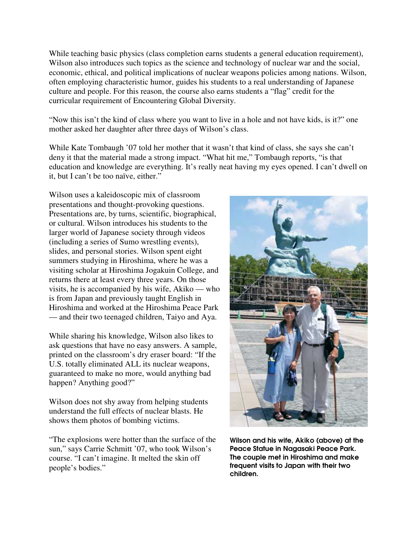While teaching basic physics (class completion earns students a general education requirement), Wilson also introduces such topics as the science and technology of nuclear war and the social, economic, ethical, and political implications of nuclear weapons policies among nations. Wilson, often employing characteristic humor, guides his students to a real understanding of Japanese culture and people. For this reason, the course also earns students a "flag" credit for the curricular requirement of Encountering Global Diversity.

"Now this isn't the kind of class where you want to live in a hole and not have kids, is it?" one mother asked her daughter after three days of Wilson's class.

While Kate Tombaugh '07 told her mother that it wasn't that kind of class, she says she can't deny it that the material made a strong impact. "What hit me," Tombaugh reports, "is that education and knowledge are everything. It's really neat having my eyes opened. I can't dwell on it, but I can't be too naïve, either."

Wilson uses a kaleidoscopic mix of classroom presentations and thought-provoking questions. Presentations are, by turns, scientific, biographical, or cultural. Wilson introduces his students to the larger world of Japanese society through videos (including a series of Sumo wrestling events), slides, and personal stories. Wilson spent eight summers studying in Hiroshima, where he was a visiting scholar at Hiroshima Jogakuin College, and returns there at least every three years. On those visits, he is accompanied by his wife, Akiko — who is from Japan and previously taught English in Hiroshima and worked at the Hiroshima Peace Park — and their two teenaged children, Taiyo and Aya.

While sharing his knowledge, Wilson also likes to ask questions that have no easy answers. A sample, printed on the classroom's dry eraser board: "If the U.S. totally eliminated ALL its nuclear weapons, guaranteed to make no more, would anything bad happen? Anything good?"

Wilson does not shy away from helping students understand the full effects of nuclear blasts. He shows them photos of bombing victims.

"The explosions were hotter than the surface of the sun," says Carrie Schmitt '07, who took Wilson's course. "I can't imagine. It melted the skin off people's bodies."



Wilson and his wife, Akiko (above) at the Peace Statue in Nagasaki Peace Park. The couple met in Hiroshima and make frequent visits to Japan with their two children.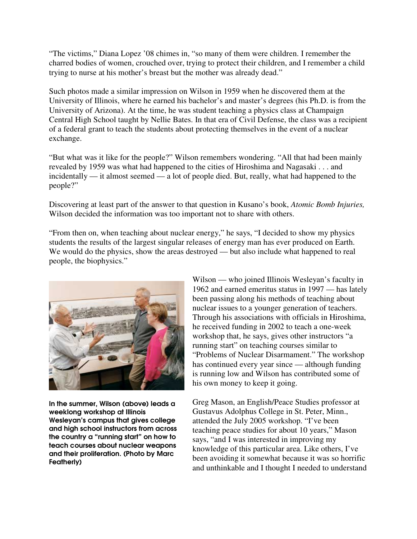"The victims," Diana Lopez '08 chimes in, "so many of them were children. I remember the charred bodies of women, crouched over, trying to protect their children, and I remember a child trying to nurse at his mother's breast but the mother was already dead."

Such photos made a similar impression on Wilson in 1959 when he discovered them at the University of Illinois, where he earned his bachelor's and master's degrees (his Ph.D. is from the University of Arizona). At the time, he was student teaching a physics class at Champaign Central High School taught by Nellie Bates. In that era of Civil Defense, the class was a recipient of a federal grant to teach the students about protecting themselves in the event of a nuclear exchange.

"But what was it like for the people?" Wilson remembers wondering. "All that had been mainly revealed by 1959 was what had happened to the cities of Hiroshima and Nagasaki . . . and incidentally — it almost seemed — a lot of people died. But, really, what had happened to the people?"

Discovering at least part of the answer to that question in Kusano's book, *Atomic Bomb Injuries,*  Wilson decided the information was too important not to share with others.

"From then on, when teaching about nuclear energy," he says, "I decided to show my physics students the results of the largest singular releases of energy man has ever produced on Earth. We would do the physics, show the areas destroyed — but also include what happened to real people, the biophysics."



In the summer, Wilson (above) leads a weeklong workshop at Illinois Wesleyan's campus that gives college and high school instructors from across the country a "running start" on how to teach courses about nuclear weapons and their proliferation. (Photo by Marc Featherly)

Wilson — who joined Illinois Wesleyan's faculty in 1962 and earned emeritus status in 1997 — has lately been passing along his methods of teaching about nuclear issues to a younger generation of teachers. Through his associations with officials in Hiroshima, he received funding in 2002 to teach a one-week workshop that, he says, gives other instructors "a running start" on teaching courses similar to "Problems of Nuclear Disarmament." The workshop has continued every year since — although funding is running low and Wilson has contributed some of his own money to keep it going.

Greg Mason, an English/Peace Studies professor at Gustavus Adolphus College in St. Peter, Minn., attended the July 2005 workshop. "I've been teaching peace studies for about 10 years," Mason says, "and I was interested in improving my knowledge of this particular area. Like others, I've been avoiding it somewhat because it was so horrific and unthinkable and I thought I needed to understand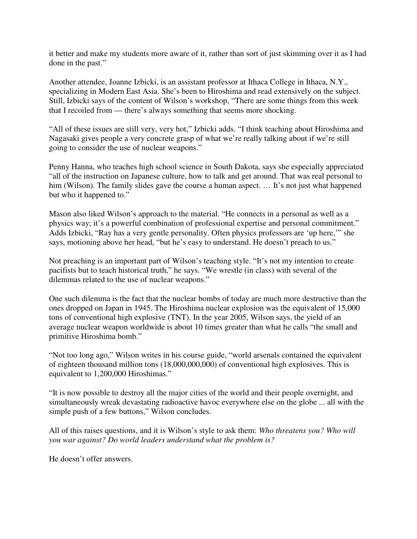it better and make my students more aware of it, rather than sort of just skimming over it as I had done in the past."

Another attendee, Joanne Izbicki, is an assistant professor at Ithaca College in Ithaca, N.Y., specializing in Modern East Asia. She's been to Hiroshima and read extensively on the subject. Still, Izbicki says of the content of Wilson's workshop, "There are some things from this week that I recoiled from — there's always something that seems more shocking.

"All of these issues are still very, very hot," Izbicki adds. "I think teaching about Hiroshima and Nagasaki gives people a very concrete grasp of what we're really talking about if we're still going to consider the use of nuclear weapons."

Penny Hanna, who teaches high school science in South Dakota, says she especially appreciated "all of the instruction on Japanese culture, how to talk and get around. That was real personal to him (Wilson). The family slides gave the course a human aspect. ... It's not just what happened but who it happened to."

Mason also liked Wilson's approach to the material. "He connects in a personal as well as a physics way; it's a powerful combination of professional expertise and personal commitment." Adds Izbicki, "Ray has a very gentle personality. Often physics professors are 'up here,'" she says, motioning above her head, "but he's easy to understand. He doesn't preach to us."

Not preaching is an important part of Wilson's teaching style. "It's not my intention to create pacifists but to teach historical truth," he says. "We wrestle (in class) with several of the dilemmas related to the use of nuclear weapons."

One such dilemma is the fact that the nuclear bombs of today are much more destructive than the ones dropped on Japan in 1945. The Hiroshima nuclear explosion was the equivalent of 15,000 tons of conventional high explosive (TNT). In the year 2005, Wilson says, the yield of an average nuclear weapon worldwide is about 10 times greater than what he calls "the small and primitive Hiroshima bomb."

"Not too long ago," Wilson writes in his course guide, "world arsenals contained the equivalent of eighteen thousand million tons (18,000,000,000) of conventional high explosives. This is equivalent to 1,200,000 Hiroshimas."

"It is now possible to destroy all the major cities of the world and their people overnight, and simultaneously wreak devastating radioactive havoc everywhere else on the globe ... all with the simple push of a few buttons," Wilson concludes.

All of this raises questions, and it is Wilson's style to ask them: *Who threatens you? Who will you war against? Do world leaders understand what the problem is?* 

He doesn't offer answers.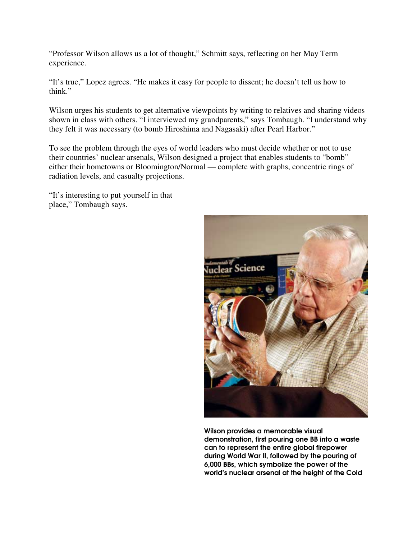"Professor Wilson allows us a lot of thought," Schmitt says, reflecting on her May Term experience.

"It's true," Lopez agrees. "He makes it easy for people to dissent; he doesn't tell us how to think."

Wilson urges his students to get alternative viewpoints by writing to relatives and sharing videos shown in class with others. "I interviewed my grandparents," says Tombaugh. "I understand why they felt it was necessary (to bomb Hiroshima and Nagasaki) after Pearl Harbor."

To see the problem through the eyes of world leaders who must decide whether or not to use their countries' nuclear arsenals, Wilson designed a project that enables students to "bomb" either their hometowns or Bloomington/Normal — complete with graphs, concentric rings of radiation levels, and casualty projections.

"It's interesting to put yourself in that place," Tombaugh says.



Wilson provides a memorable visual demonstration, first pouring one BB into a waste can to represent the entire global firepower during World War II, followed by the pouring of 6,000 BBs, which symbolize the power of the world's nuclear arsenal at the height of the Cold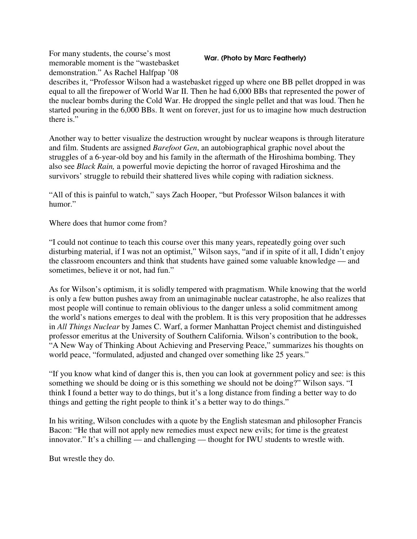For many students, the course's most memorable moment is the "wastebasket demonstration." As Rachel Halfpap '08

#### War. (Photo by Marc Featherly)

describes it, "Professor Wilson had a wastebasket rigged up where one BB pellet dropped in was equal to all the firepower of World War II. Then he had 6,000 BBs that represented the power of the nuclear bombs during the Cold War. He dropped the single pellet and that was loud. Then he started pouring in the 6,000 BBs. It went on forever, just for us to imagine how much destruction there is."

Another way to better visualize the destruction wrought by nuclear weapons is through literature and film. Students are assigned *Barefoot Gen*, an autobiographical graphic novel about the struggles of a 6-year-old boy and his family in the aftermath of the Hiroshima bombing. They also see *Black Rain,* a powerful movie depicting the horror of ravaged Hiroshima and the survivors' struggle to rebuild their shattered lives while coping with radiation sickness.

"All of this is painful to watch," says Zach Hooper, "but Professor Wilson balances it with humor."

Where does that humor come from?

"I could not continue to teach this course over this many years, repeatedly going over such disturbing material, if I was not an optimist," Wilson says, "and if in spite of it all, I didn't enjoy the classroom encounters and think that students have gained some valuable knowledge — and sometimes, believe it or not, had fun."

As for Wilson's optimism, it is solidly tempered with pragmatism. While knowing that the world is only a few button pushes away from an unimaginable nuclear catastrophe, he also realizes that most people will continue to remain oblivious to the danger unless a solid commitment among the world's nations emerges to deal with the problem. It is this very proposition that he addresses in *All Things Nuclear* by James C. Warf, a former Manhattan Project chemist and distinguished professor emeritus at the University of Southern California. Wilson's contribution to the book, "A New Way of Thinking About Achieving and Preserving Peace," summarizes his thoughts on world peace, "formulated, adjusted and changed over something like 25 years."

"If you know what kind of danger this is, then you can look at government policy and see: is this something we should be doing or is this something we should not be doing?" Wilson says. "I think I found a better way to do things, but it's a long distance from finding a better way to do things and getting the right people to think it's a better way to do things."

In his writing, Wilson concludes with a quote by the English statesman and philosopher Francis Bacon: "He that will not apply new remedies must expect new evils; for time is the greatest innovator." It's a chilling — and challenging — thought for IWU students to wrestle with.

But wrestle they do.